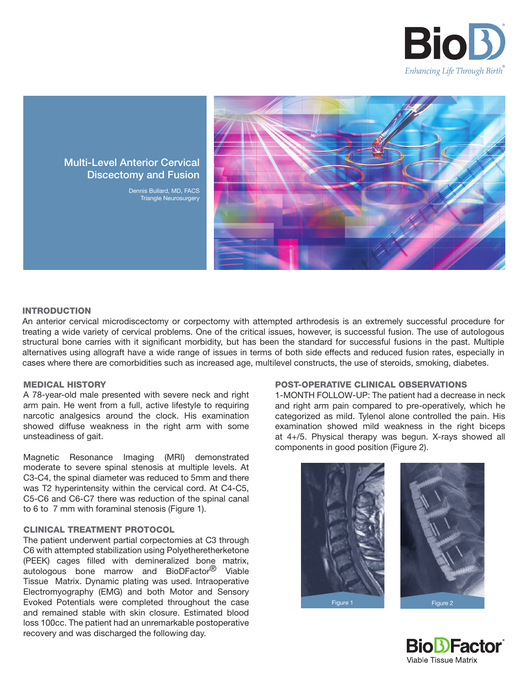



# Multi-Level Anterior Cervical Discectomy and Fusion

Dennis Bullard, MD, FACS Triangle Neurosurgery

## INTRODUCTION

An anterior cervical microdiscectomy or corpectomy with attempted arthrodesis is an extremely successful procedure for treating a wide variety of cervical problems. One of the critical issues, however, is successful fusion. The use of autologous structural bone carries with it significant morbidity, but has been the standard for successful fusions in the past. Multiple alternatives using allograft have a wide range of issues in terms of both side effects and reduced fusion rates, especially in cases where there are comorbidities such as increased age, multilevel constructs, the use of steroids, smoking, diabetes.

### MEDICAL HISTORY

A 78-year-old male presented with severe neck and right arm pain. He went from a full, active lifestyle to requiring narcotic analgesics around the clock. His examination showed diffuse weakness in the right arm with some unsteadiness of gait.

Magnetic Resonance Imaging (MRI) demonstrated moderate to severe spinal stenosis at multiple levels. At C3-C4, the spinal diameter was reduced to 5mm and there was T2 hyperintensity within the cervical cord. At C4-C5, C5-C6 and C6-C7 there was reduction of the spinal canal to 6 to 7 mm with foraminal stenosis (Figure 1).

### CLINICAL TREATMENT PROTOCOL

The patient underwent partial corpectomies at C3 through C6 with attempted stabilization using Polyetheretherketone (PEEK) cages filled with demineralized bone matrix, autologous bone marrow and BioDFactor<sup>®</sup> Viable Tissue Matrix. Dynamic plating was used. Intraoperative Electromyography (EMG) and both Motor and Sensory Evoked Potentials were completed throughout the case and remained stable with skin closure. Estimated blood loss 100cc. The patient had an unremarkable postoperative recovery and was discharged the following day.

#### POST-OPERATIVE CLINICAL OBSERVATIONS

1-MONTH FOLLOW-UP: The patient had a decrease in neck and right arm pain compared to pre-operatively, which he categorized as mild. Tylenol alone controlled the pain. His examination showed mild weakness in the right biceps at 4+/5. Physical therapy was begun. X-rays showed all components in good position (Figure 2).